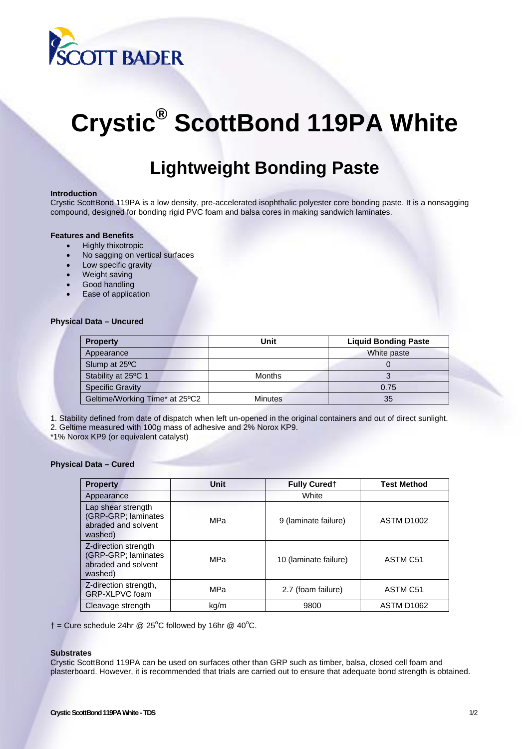

# **Crystic® ScottBond 119PA White**

# **Lightweight Bonding Paste**

# **Introduction**

Crystic ScottBond 119PA is a low density, pre-accelerated isophthalic polyester core bonding paste. It is a nonsagging compound, designed for bonding rigid PVC foam and balsa cores in making sandwich laminates.

### **Features and Benefits**

- Highly thixotropic
- No sagging on vertical surfaces
- Low specific gravity
- Weight saving
- Good handling
- Ease of application

# **Physical Data – Uncured**

| <b>Property</b>                | Unit           | <b>Liquid Bonding Paste</b> |
|--------------------------------|----------------|-----------------------------|
| Appearance                     |                | White paste                 |
| Slump at 25°C                  |                |                             |
| Stability at 25°C 1            | <b>Months</b>  |                             |
| <b>Specific Gravity</b>        |                | 0.75                        |
| Geltime/Working Time* at 25°C2 | <b>Minutes</b> | 35                          |

1. Stability defined from date of dispatch when left un-opened in the original containers and out of direct sunlight.

2. Geltime measured with 100g mass of adhesive and 2% Norox KP9.

\*1% Norox KP9 (or equivalent catalyst)

### **Physical Data – Cured**

| <b>Property</b>                                                               | Unit | <b>Fully Cured</b> †  | <b>Test Method</b>     |
|-------------------------------------------------------------------------------|------|-----------------------|------------------------|
| Appearance                                                                    |      | White                 |                        |
| Lap shear strength<br>(GRP-GRP; laminates<br>abraded and solvent<br>washed)   | MPa  | 9 (laminate failure)  | ASTM D <sub>1002</sub> |
| Z-direction strength<br>(GRP-GRP; laminates<br>abraded and solvent<br>washed) | MPa  | 10 (laminate failure) | ASTM C51               |
| Z-direction strength,<br>GRP-XLPVC foam                                       | MPa  | 2.7 (foam failure)    | ASTM C51               |
| Cleavage strength                                                             | kg/m | 9800                  | ASTM D1062             |

 $\dagger$  = Cure schedule 24hr @ 25°C followed by 16hr @ 40°C.

#### **Substrates**

Crystic ScottBond 119PA can be used on surfaces other than GRP such as timber, balsa, closed cell foam and plasterboard. However, it is recommended that trials are carried out to ensure that adequate bond strength is obtained.